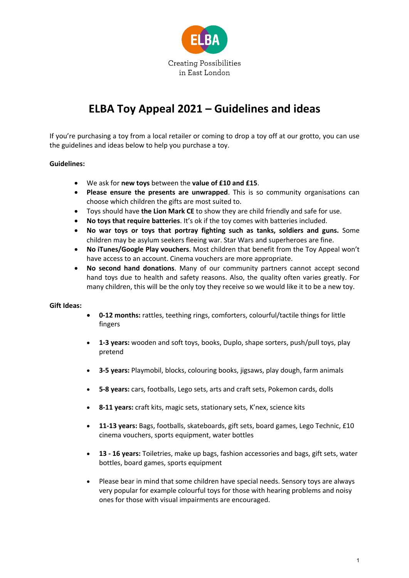

# **ELBA Toy Appeal 2021 – Guidelines and ideas**

If you're purchasing a toy from a local retailer or coming to drop a toy off at our grotto, you can use the guidelines and ideas below to help you purchase a toy.

#### **Guidelines:**

- We ask for **new toys** between the **value of £10 and £15**.
- **Please ensure the presents are unwrapped**. This is so community organisations can choose which children the gifts are most suited to.
- Toys should have **the Lion Mark CE** to show they are child friendly and safe for use.
- **No toys that require batteries**. It's ok if the toy comes with batteries included.
- **No war toys or toys that portray fighting such as tanks, soldiers and guns.** Some children may be asylum seekers fleeing war. Star Wars and superheroes are fine.
- **No iTunes/Google Play vouchers**. Most children that benefit from the Toy Appeal won't have access to an account. Cinema vouchers are more appropriate.
- **No second hand donations**. Many of our community partners cannot accept second hand toys due to health and safety reasons. Also, the quality often varies greatly. For many children, this will be the only toy they receive so we would like it to be a new toy.

#### **Gift Ideas:**

- **0-12 months:** rattles, teething rings, comforters, colourful/tactile things for little fingers
- **1-3 years:** wooden and soft toys, books, Duplo, shape sorters, push/pull toys, play pretend
- **3-5 years:** Playmobil, blocks, colouring books, jigsaws, play dough, farm animals
- **5-8 years:** cars, footballs, Lego sets, arts and craft sets, Pokemon cards, dolls
- **8-11 years:** craft kits, magic sets, stationary sets, K'nex, science kits
- **11-13 years:** Bags, footballs, skateboards, gift sets, board games, Lego Technic, £10 cinema vouchers, sports equipment, water bottles
- **13 - 16 years:** Toiletries, make up bags, fashion accessories and bags, gift sets, water bottles, board games, sports equipment
- Please bear in mind that some children have special needs. Sensory toys are always very popular for example colourful toys for those with hearing problems and noisy ones for those with visual impairments are encouraged.